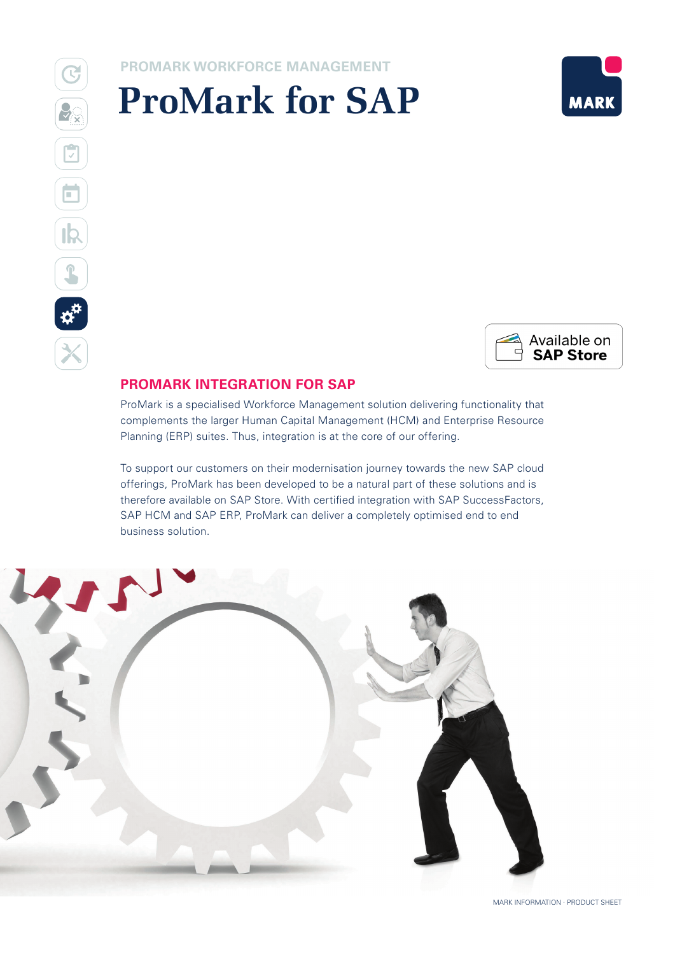# **PROMARK WORKFORCE MANAGEMENT**

# **ProMark for SAP**





# **PROMARK INTEGRATION FOR SAP**

ProMark is a specialised Workforce Management solution delivering functionality that complements the larger Human Capital Management (HCM) and Enterprise Resource Planning (ERP) suites. Thus, integration is at the core of our offering.

To support our customers on their modernisation journey towards the new SAP cloud offerings, ProMark has been developed to be a natural part of these solutions and is therefore available on SAP Store. With certified integration with SAP SuccessFactors, SAP HCM and SAP ERP, ProMark can deliver a completely optimised end to end business solution.

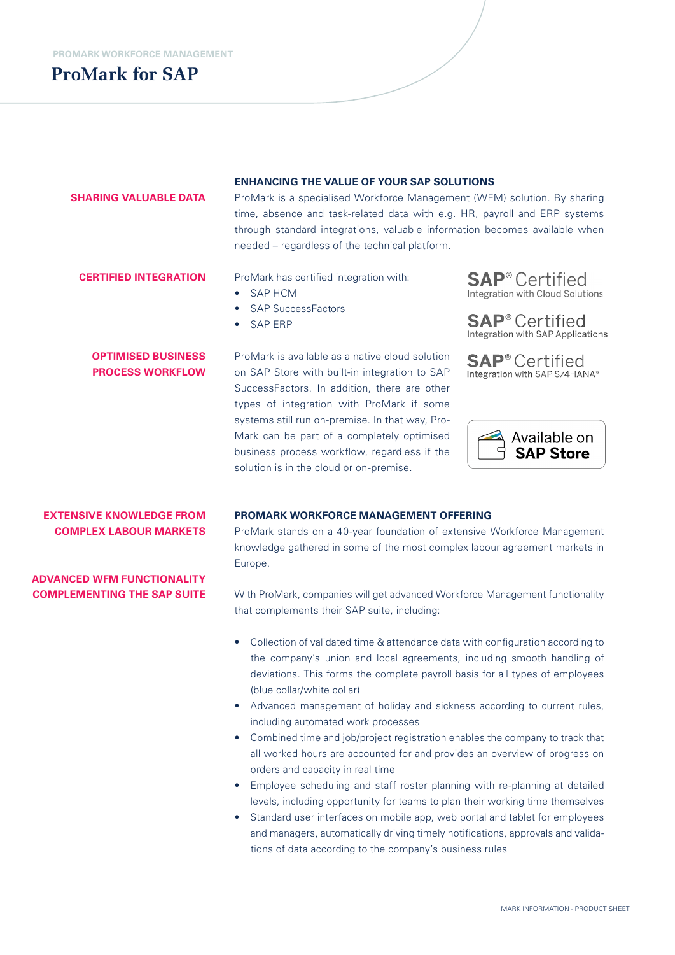# **ProMark for SAP**

#### **SHARING VALUABLE DATA**

#### **ENHANCING THE VALUE OF YOUR SAP SOLUTIONS**

ProMark is a specialised Workforce Management (WFM) solution. By sharing time, absence and task-related data with e.g. HR, payroll and ERP systems through standard integrations, valuable information becomes available when needed – regardless of the technical platform.

#### **CERTIFIED INTEGRATION**

ProMark has certified integration with:

- SAP HCM
- **SAP SuccessFactors**
- SAP ERP

## **OPTIMISED BUSINESS PROCESS WORKFLOW**

ProMark is available as a native cloud solution on SAP Store with built-in integration to SAP SuccessFactors. In addition, there are other types of integration with ProMark if some systems still run on-premise. In that way, Pro-Mark can be part of a completely optimised business process workflow, regardless if the solution is in the cloud or on-premise.



**SAP**<sup>®</sup> Certified Integration with SAP Applications

**SAP**<sup>®</sup> Certified Integration with SAP S/4HANA®



# **EXTENSIVE KNOWLEDGE FROM COMPLEX LABOUR MARKETS**

### **PROMARK WORKFORCE MANAGEMENT OFFERING**

ProMark stands on a 40-year foundation of extensive Workforce Management knowledge gathered in some of the most complex labour agreement markets in Europe.

**ADVANCED WFM FUNCTIONALITY COMPLEMENTING THE SAP SUITE**

With ProMark, companies will get advanced Workforce Management functionality that complements their SAP suite, including:

- Collection of validated time & attendance data with configuration according to the company's union and local agreements, including smooth handling of deviations. This forms the complete payroll basis for all types of employees (blue collar/white collar)
- Advanced management of holiday and sickness according to current rules, including automated work processes
- Combined time and job/project registration enables the company to track that all worked hours are accounted for and provides an overview of progress on orders and capacity in real time
- Employee scheduling and staff roster planning with re-planning at detailed levels, including opportunity for teams to plan their working time themselves
- Standard user interfaces on mobile app, web portal and tablet for employees and managers, automatically driving timely notifications, approvals and validations of data according to the company's business rules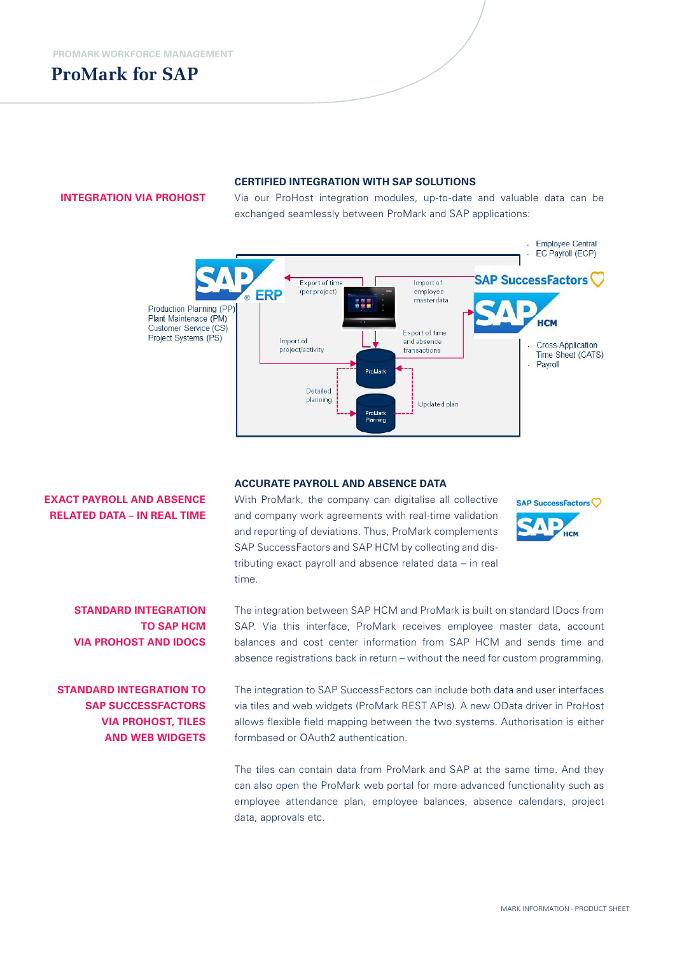# **ProMark for SAP**

#### **INTEGRATION VIA PROHOST**

#### **CERTIFIED INTEGRATION WITH SAP SOLUTIONS**

Via our ProHost integration modules, up-to-date and valuable data can be exchanged seamlessly between ProMark and SAP applications:



#### **EXACT PAYROLL AND ABSENCE RELATED DATA – IN REAL TIME**

**ACCURATE PAYROLL AND ABSENCE DATA**

With ProMark, the company can digitalise all collective and company work agreements with real-time validation and reporting of deviations. Thus, ProMark complements SAP SuccessFactors and SAP HCM by collecting and distributing exact payroll and absence related data – in real time.



**STANDARD INTEGRATION TO SAP HCM VIA PROHOST AND IDOCS**

# **STANDARD INTEGRATION TO SAP SUCCESSFACTORS VIA PROHOST, TILES AND WEB WIDGETS**

The integration between SAP HCM and ProMark is built on standard IDocs from SAP. Via this interface, ProMark receives employee master data, account balances and cost center information from SAP HCM and sends time and absence registrations back in return – without the need for custom programming.

The integration to SAP SuccessFactors can include both data and user interfaces via tiles and web widgets (ProMark REST APIs). A new OData driver in ProHost allows flexible field mapping between the two systems. Authorisation is either formbased or OAuth2 authentication.

The tiles can contain data from ProMark and SAP at the same time. And they can also open the ProMark web portal for more advanced functionality such as employee attendance plan, employee balances, absence calendars, project data, approvals etc.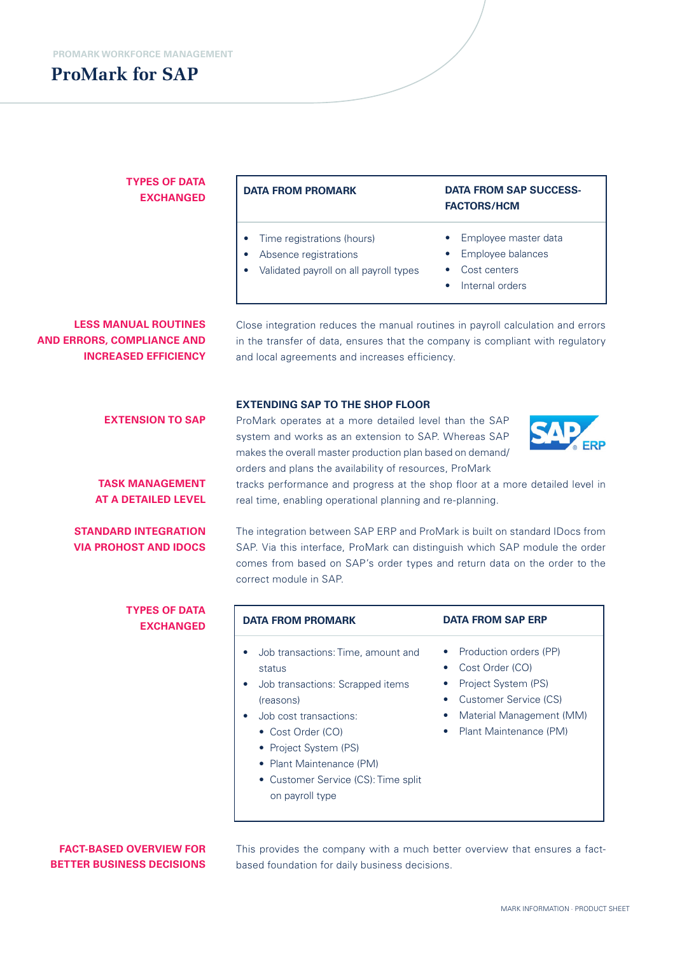# **ProMark for SAP**

## **TYPES OF DATA EXCHANGED**

#### **DATA FROM PROMARK**

- Time registrations (hours)
- Absence registrations
- Validated payroll on all payroll types
- Cost centers • Internal orders

**FACTORS/HCM**

**DATA FROM SAP SUCCESS-**

• Employee master data • Employee balances

**LESS MANUAL ROUTINES AND ERRORS, COMPLIANCE AND INCREASED EFFICIENCY**

**EXTENSION TO SAP**

**TASK MANAGEMENT AT A DETAILED LEVEL**

**STANDARD INTEGRATION VIA PROHOST AND IDOCS** Close integration reduces the manual routines in payroll calculation and errors in the transfer of data, ensures that the company is compliant with regulatory and local agreements and increases efficiency.

#### **EXTENDING SAP TO THE SHOP FLOOR**

ProMark operates at a more detailed level than the SAP system and works as an extension to SAP. Whereas SAP makes the overall master production plan based on demand/ orders and plans the availability of resources, ProMark



tracks performance and progress at the shop floor at a more detailed level in real time, enabling operational planning and re-planning.

The integration between SAP ERP and ProMark is built on standard IDocs from SAP. Via this interface, ProMark can distinguish which SAP module the order comes from based on SAP's order types and return data on the order to the correct module in SAP.

| <b>TYPES OF DATA</b><br><b>EXCHANGED</b> | <b>DATA FROM PROMARK</b>                                                                                                                                                                                                                                                                           | <b>DATA FROM SAP ERP</b>                                                                                                                                                           |
|------------------------------------------|----------------------------------------------------------------------------------------------------------------------------------------------------------------------------------------------------------------------------------------------------------------------------------------------------|------------------------------------------------------------------------------------------------------------------------------------------------------------------------------------|
|                                          | Job transactions: Time, amount and<br>$\bullet$<br>status<br>Job transactions: Scrapped items<br>$\bullet$<br>(reasons)<br>Job cost transactions:<br>$\bullet$<br>• Cost Order (CO)<br>• Project System (PS)<br>• Plant Maintenance (PM)<br>• Customer Service (CS): Time split<br>on payroll type | • Production orders (PP)<br>Cost Order (CO)<br>$\bullet$<br>Project System (PS)<br>Customer Service (CS)<br>$\bullet$<br>Material Management (MM)<br>۰<br>• Plant Maintenance (PM) |

#### **FACT-BASED OVERVIEW FOR BETTER BUSINESS DECISIONS**

This provides the company with a much better overview that ensures a factbased foundation for daily business decisions.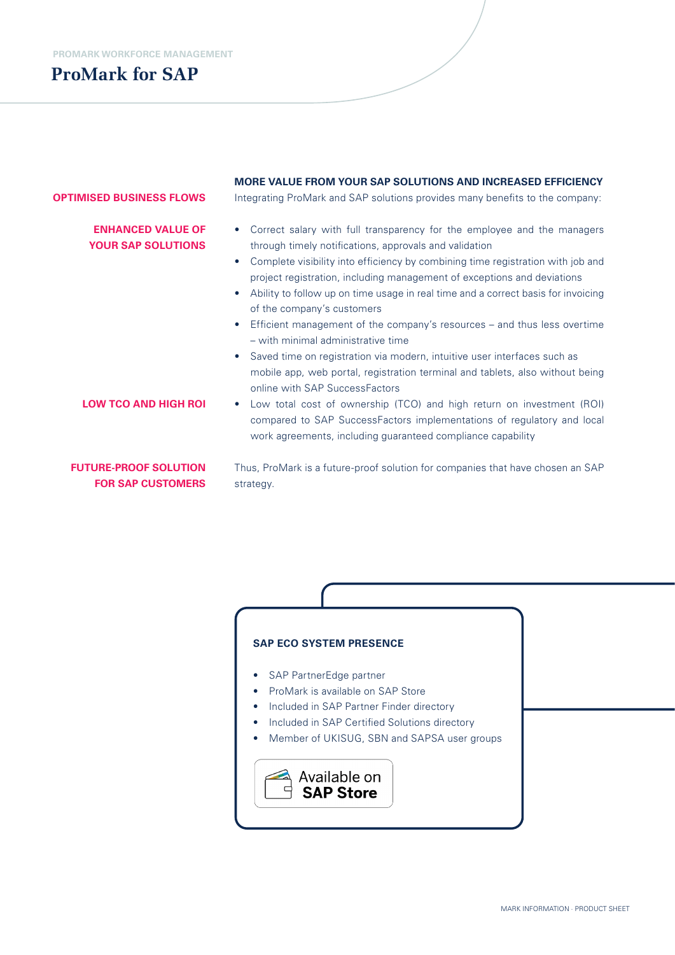**PROMARK WORKFORCE MANAGEMENT**

# **ProMark for SAP**

# **MORE VALUE FROM YOUR SAP SOLUTIONS AND INCREASED EFFICIENCY**

#### **OPTIMISED BUSINESS FLOWS**

# **ENHANCED VALUE OF YOUR SAP SOLUTIONS**

Integrating ProMark and SAP solutions provides many benefits to the company:

- Correct salary with full transparency for the employee and the managers through timely notifications, approvals and validation
- Complete visibility into efficiency by combining time registration with job and project registration, including management of exceptions and deviations
- Ability to follow up on time usage in real time and a correct basis for invoicing of the company's customers
- Efficient management of the company's resources and thus less overtime – with minimal administrative time
- Saved time on registration via modern, intuitive user interfaces such as mobile app, web portal, registration terminal and tablets, also without being online with SAP SuccessFactors
- Low total cost of ownership (TCO) and high return on investment (ROI) compared to SAP SuccessFactors implementations of regulatory and local work agreements, including guaranteed compliance capability

## **FUTURE-PROOF SOLUTION FOR SAP CUSTOMERS**

**LOW TCO AND HIGH ROI**

Thus, ProMark is a future-proof solution for companies that have chosen an SAP strategy.

## **SAP ECO SYSTEM PRESENCE**

- SAP PartnerEdge partner
- ProMark is available on SAP Store
- Included in SAP Partner Finder directory
- Included in SAP Certified Solutions directory
- Member of UKISUG, SBN and SAPSA user groups